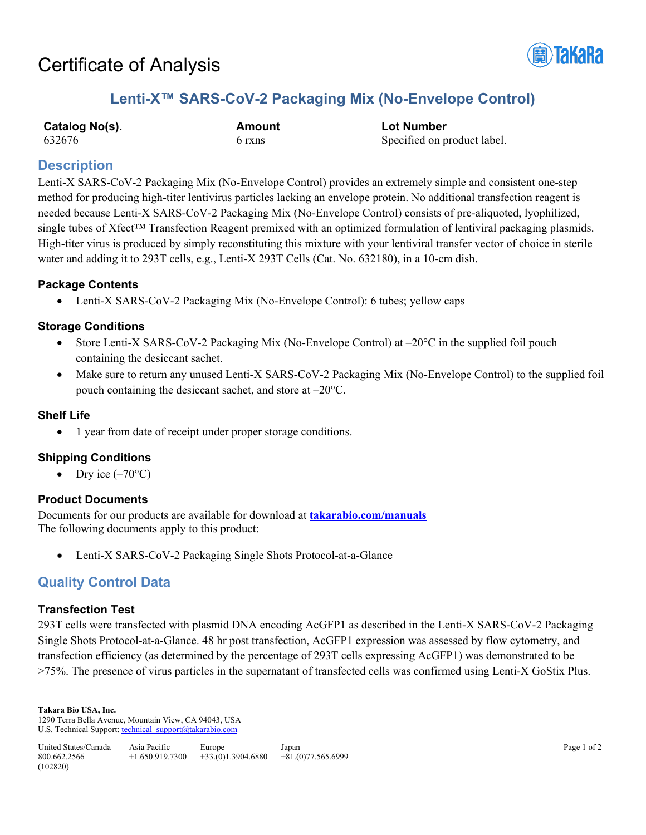

# **Lenti-X™ SARS-CoV-2 Packaging Mix (No-Envelope Control)**

| Catalog No(s). |  |
|----------------|--|
| 632676         |  |

**Catalog No(s). Amount Lot Number** 6 rxns Specified on product label.

# **Description**

Lenti-X SARS-CoV-2 Packaging Mix (No-Envelope Control) provides an extremely simple and consistent one-step method for producing high-titer lentivirus particles lacking an envelope protein. No additional transfection reagent is needed because Lenti-X SARS-CoV-2 Packaging Mix (No-Envelope Control) consists of pre-aliquoted, lyophilized, single tubes of Xfect™ Transfection Reagent premixed with an optimized formulation of lentiviral packaging plasmids. High-titer virus is produced by simply reconstituting this mixture with your lentiviral transfer vector of choice in sterile water and adding it to 293T cells, e.g., Lenti-X 293T Cells (Cat. No. 632180), in a 10-cm dish.

## **Package Contents**

• Lenti-X SARS-CoV-2 Packaging Mix (No-Envelope Control): 6 tubes; yellow caps

### **Storage Conditions**

- Store Lenti-X SARS-CoV-2 Packaging Mix (No-Envelope Control) at  $-20^{\circ}$ C in the supplied foil pouch containing the desiccant sachet.
- Make sure to return any unused Lenti-X SARS-CoV-2 Packaging Mix (No-Envelope Control) to the supplied foil pouch containing the desiccant sachet, and store at –20°C.

### **Shelf Life**

• 1 year from date of receipt under proper storage conditions.

## **Shipping Conditions**

• Dry ice  $(-70^{\circ}C)$ 

### **Product Documents**

Documents for our products are available for download at **[takarabio.com/manuals](http://www.takarabio.com/manuals)** The following documents apply to this product:

• Lenti-X SARS-CoV-2 Packaging Single Shots Protocol-at-a-Glance

# **Quality Control Data**

### **Transfection Test**

293T cells were transfected with plasmid DNA encoding AcGFP1 as described in the Lenti-X SARS-CoV-2 Packaging Single Shots Protocol-at-a-Glance. 48 hr post transfection, AcGFP1 expression was assessed by flow cytometry, and transfection efficiency (as determined by the percentage of 293T cells expressing AcGFP1) was demonstrated to be >75%. The presence of virus particles in the supernatant of transfected cells was confirmed using Lenti-X GoStix Plus.

**Takara Bio USA, Inc.** 

1290 Terra Bella Avenue, Mountain View, CA 94043, USA U.S. Technical Support[: technical\\_support@takarabio.com](mailto:technical_support@takarabio.com)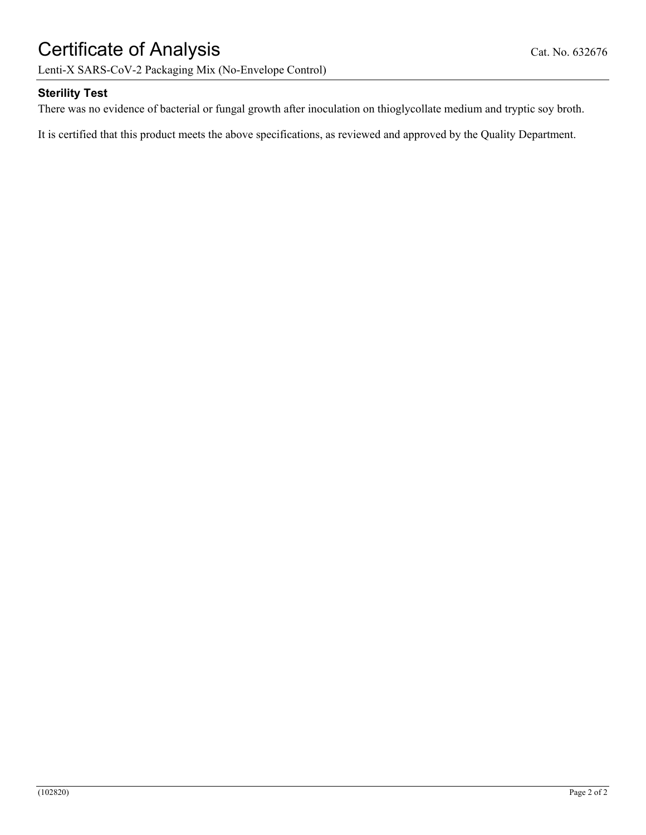# Certificate of Analysis Cat. No. 632676

Lenti-X SARS-CoV-2 Packaging Mix (No-Envelope Control)

### **Sterility Test**

There was no evidence of bacterial or fungal growth after inoculation on thioglycollate medium and tryptic soy broth.

It is certified that this product meets the above specifications, as reviewed and approved by the Quality Department.